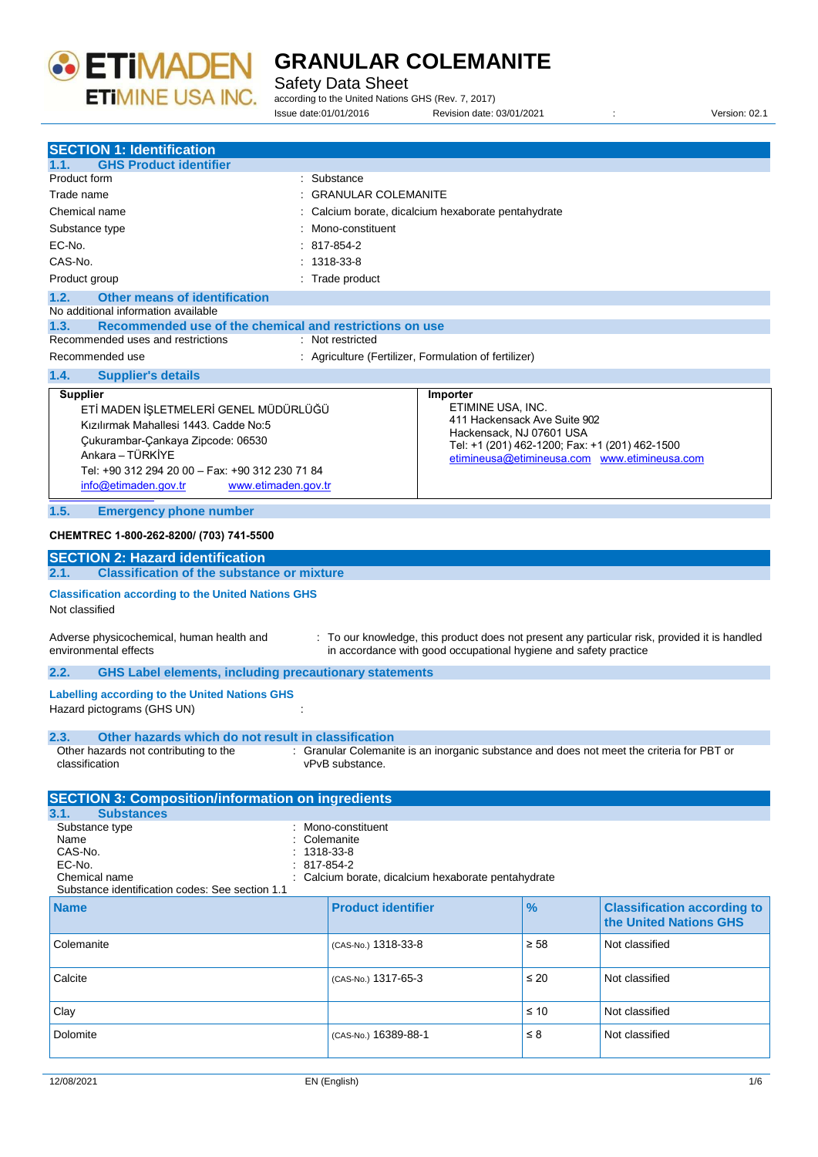

### Safety Data Sheet

according to the United Nations GHS (Rev. 7, 2017) Issue date:01/01/2016 Revision date: 03/01/2021 : Version: 02.1

| <b>SECTION 1: Identification</b>                                                                                                                       |                                                                                                                                                                   |                                                                            |                                                              |
|--------------------------------------------------------------------------------------------------------------------------------------------------------|-------------------------------------------------------------------------------------------------------------------------------------------------------------------|----------------------------------------------------------------------------|--------------------------------------------------------------|
| <b>GHS Product identifier</b><br>1.1.                                                                                                                  |                                                                                                                                                                   |                                                                            |                                                              |
| Product form                                                                                                                                           | : Substance                                                                                                                                                       |                                                                            |                                                              |
| Trade name                                                                                                                                             | : GRANULAR COLEMANITE                                                                                                                                             |                                                                            |                                                              |
| Chemical name                                                                                                                                          | Calcium borate, dicalcium hexaborate pentahydrate                                                                                                                 |                                                                            |                                                              |
| Substance type                                                                                                                                         | Mono-constituent                                                                                                                                                  |                                                                            |                                                              |
| EC-No.                                                                                                                                                 | 817-854-2                                                                                                                                                         |                                                                            |                                                              |
|                                                                                                                                                        |                                                                                                                                                                   |                                                                            |                                                              |
| CAS-No.                                                                                                                                                | 1318-33-8                                                                                                                                                         |                                                                            |                                                              |
| Product group                                                                                                                                          | : Trade product                                                                                                                                                   |                                                                            |                                                              |
| <b>Other means of identification</b><br>1.2.<br>No additional information available<br>1.3.<br>Recommended use of the chemical and restrictions on use |                                                                                                                                                                   |                                                                            |                                                              |
| Recommended uses and restrictions                                                                                                                      | : Not restricted                                                                                                                                                  |                                                                            |                                                              |
| Recommended use                                                                                                                                        | : Agriculture (Fertilizer, Formulation of fertilizer)                                                                                                             |                                                                            |                                                              |
| 1.4.<br><b>Supplier's details</b>                                                                                                                      |                                                                                                                                                                   |                                                                            |                                                              |
| <b>Supplier</b>                                                                                                                                        | Importer                                                                                                                                                          |                                                                            |                                                              |
| ETİ MADEN İŞLETMELERİ GENEL MÜDÜRLÜĞÜ                                                                                                                  | ETIMINE USA, INC.                                                                                                                                                 |                                                                            |                                                              |
| Kızılırmak Mahallesi 1443. Cadde No:5                                                                                                                  |                                                                                                                                                                   | 411 Hackensack Ave Suite 902                                               |                                                              |
| Çukurambar-Çankaya Zipcode: 06530                                                                                                                      |                                                                                                                                                                   | Hackensack, NJ 07601 USA<br>Tel: +1 (201) 462-1200; Fax: +1 (201) 462-1500 |                                                              |
| Ankara – TÜRKİYE                                                                                                                                       |                                                                                                                                                                   |                                                                            | etimineusa@etimineusa.com www.etimineusa.com                 |
| Tel: +90 312 294 20 00 - Fax: +90 312 230 71 84                                                                                                        |                                                                                                                                                                   |                                                                            |                                                              |
| info@etimaden.gov.tr<br>www.etimaden.gov.tr                                                                                                            |                                                                                                                                                                   |                                                                            |                                                              |
| 1.5.<br><b>Emergency phone number</b>                                                                                                                  |                                                                                                                                                                   |                                                                            |                                                              |
| CHEMTREC 1-800-262-8200/ (703) 741-5500                                                                                                                |                                                                                                                                                                   |                                                                            |                                                              |
| <b>SECTION 2: Hazard identification</b>                                                                                                                |                                                                                                                                                                   |                                                                            |                                                              |
| <b>Classification of the substance or mixture</b><br>2.1.                                                                                              |                                                                                                                                                                   |                                                                            |                                                              |
|                                                                                                                                                        |                                                                                                                                                                   |                                                                            |                                                              |
| <b>Classification according to the United Nations GHS</b>                                                                                              |                                                                                                                                                                   |                                                                            |                                                              |
| Not classified                                                                                                                                         |                                                                                                                                                                   |                                                                            |                                                              |
|                                                                                                                                                        |                                                                                                                                                                   |                                                                            |                                                              |
| Adverse physicochemical, human health and<br>environmental effects                                                                                     | : To our knowledge, this product does not present any particular risk, provided it is handled<br>in accordance with good occupational hygiene and safety practice |                                                                            |                                                              |
|                                                                                                                                                        |                                                                                                                                                                   |                                                                            |                                                              |
| <b>GHS Label elements, including precautionary statements</b><br>2.2.                                                                                  |                                                                                                                                                                   |                                                                            |                                                              |
| <b>Labelling according to the United Nations GHS</b>                                                                                                   |                                                                                                                                                                   |                                                                            |                                                              |
| Hazard pictograms (GHS UN)                                                                                                                             |                                                                                                                                                                   |                                                                            |                                                              |
| Other hazards which do not result in classification<br>2.3.                                                                                            |                                                                                                                                                                   |                                                                            |                                                              |
| Other hazards not contributing to the                                                                                                                  | : Granular Colemanite is an inorganic substance and does not meet the criteria for PBT or                                                                         |                                                                            |                                                              |
| classification                                                                                                                                         | vPvB substance.                                                                                                                                                   |                                                                            |                                                              |
|                                                                                                                                                        |                                                                                                                                                                   |                                                                            |                                                              |
|                                                                                                                                                        |                                                                                                                                                                   |                                                                            |                                                              |
|                                                                                                                                                        |                                                                                                                                                                   |                                                                            |                                                              |
| <b>SECTION 3: Composition/information on ingredients</b>                                                                                               |                                                                                                                                                                   |                                                                            |                                                              |
| 3.1.<br><b>Substances</b>                                                                                                                              |                                                                                                                                                                   |                                                                            |                                                              |
| Substance type                                                                                                                                         | Mono-constituent                                                                                                                                                  |                                                                            |                                                              |
| Name                                                                                                                                                   | Colemanite                                                                                                                                                        |                                                                            |                                                              |
| CAS-No.<br>EC-No.                                                                                                                                      | 1318-33-8<br>817-854-2                                                                                                                                            |                                                                            |                                                              |
| Chemical name                                                                                                                                          | Calcium borate, dicalcium hexaborate pentahydrate                                                                                                                 |                                                                            |                                                              |
| Substance identification codes: See section 1.1                                                                                                        |                                                                                                                                                                   |                                                                            |                                                              |
| <b>Name</b>                                                                                                                                            | <b>Product identifier</b>                                                                                                                                         | $\frac{9}{6}$                                                              | <b>Classification according to</b><br>the United Nations GHS |
| Colemanite                                                                                                                                             |                                                                                                                                                                   | $\geq 58$                                                                  | Not classified                                               |
|                                                                                                                                                        | (CAS-No.) 1318-33-8                                                                                                                                               |                                                                            |                                                              |
| Calcite                                                                                                                                                | (CAS-No.) 1317-65-3                                                                                                                                               | $\leq 20$                                                                  | Not classified                                               |
|                                                                                                                                                        |                                                                                                                                                                   |                                                                            |                                                              |
| Clay                                                                                                                                                   |                                                                                                                                                                   | $\leq 10$                                                                  | Not classified                                               |
| Dolomite                                                                                                                                               | (CAS-No.) 16389-88-1                                                                                                                                              | $\leq 8$                                                                   | Not classified                                               |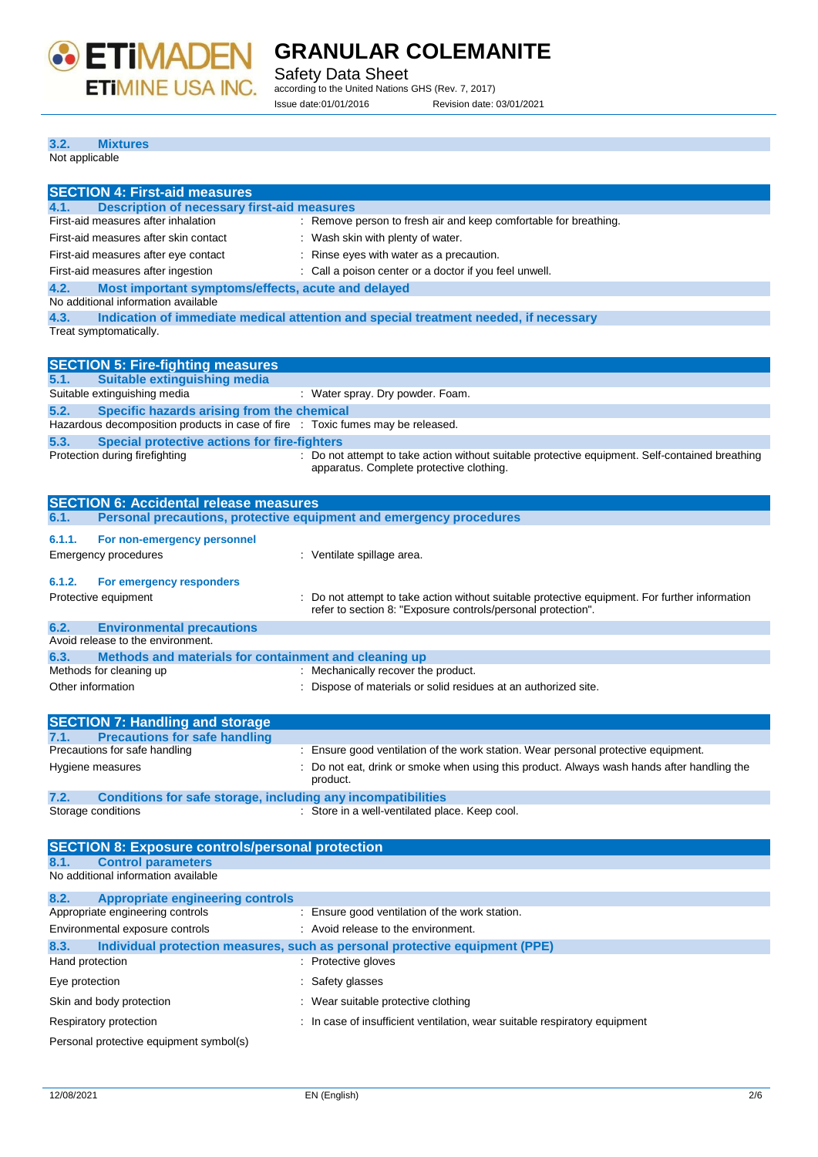

Safety Data Sheet according to the United Nations GHS (Rev. 7, 2017) Issue date:01/01/2016 Revision date: 03/01/2021

#### **3.2. Mixtures** Not applicable

| <b>SECTION 4: First-aid measures</b>                                                              |                                                                                                      |
|---------------------------------------------------------------------------------------------------|------------------------------------------------------------------------------------------------------|
| <b>Description of necessary first-aid measures</b><br>4.1.                                        |                                                                                                      |
| First-aid measures after inhalation                                                               | : Remove person to fresh air and keep comfortable for breathing.                                     |
| First-aid measures after skin contact                                                             | : Wash skin with plenty of water.                                                                    |
| First-aid measures after eye contact                                                              | : Rinse eyes with water as a precaution.                                                             |
| First-aid measures after ingestion                                                                | : Call a poison center or a doctor if you feel unwell.                                               |
|                                                                                                   |                                                                                                      |
| Most important symptoms/effects, acute and delayed<br>4.2.<br>No additional information available |                                                                                                      |
| 4.3.                                                                                              | Indication of immediate medical attention and special treatment needed, if necessary                 |
| Treat symptomatically.                                                                            |                                                                                                      |
|                                                                                                   |                                                                                                      |
| <b>SECTION 5: Fire-fighting measures</b>                                                          |                                                                                                      |
| <b>Suitable extinguishing media</b><br>5.1.                                                       |                                                                                                      |
| Suitable extinguishing media                                                                      | : Water spray. Dry powder. Foam.                                                                     |
| Specific hazards arising from the chemical<br>5.2.                                                |                                                                                                      |
| Hazardous decomposition products in case of fire : Toxic fumes may be released.                   |                                                                                                      |
| 5.3.<br><b>Special protective actions for fire-fighters</b>                                       |                                                                                                      |
| Protection during firefighting                                                                    | : Do not attempt to take action without suitable protective equipment. Self-contained breathing      |
|                                                                                                   | apparatus. Complete protective clothing.                                                             |
|                                                                                                   |                                                                                                      |
| <b>SECTION 6: Accidental release measures</b>                                                     |                                                                                                      |
| 6.1.                                                                                              | Personal precautions, protective equipment and emergency procedures                                  |
| 6.1.1.<br>For non-emergency personnel                                                             |                                                                                                      |
| <b>Emergency procedures</b>                                                                       | : Ventilate spillage area.                                                                           |
|                                                                                                   |                                                                                                      |
| 6.1.2.<br>For emergency responders                                                                |                                                                                                      |
| Protective equipment                                                                              | : Do not attempt to take action without suitable protective equipment. For further information       |
|                                                                                                   | refer to section 8: "Exposure controls/personal protection".                                         |
| <b>Environmental precautions</b><br>6.2.                                                          |                                                                                                      |
| Avoid release to the environment.                                                                 |                                                                                                      |
| Methods and materials for containment and cleaning up<br>6.3.                                     |                                                                                                      |
| Methods for cleaning up                                                                           | : Mechanically recover the product.                                                                  |
| Other information                                                                                 | : Dispose of materials or solid residues at an authorized site.                                      |
|                                                                                                   |                                                                                                      |
| <b>SECTION 7: Handling and storage</b>                                                            |                                                                                                      |
| <b>Precautions for safe handling</b><br>7.1.                                                      |                                                                                                      |
| Precautions for safe handling                                                                     | : Ensure good ventilation of the work station. Wear personal protective equipment.                   |
| Hygiene measures                                                                                  | Do not eat, drink or smoke when using this product. Always wash hands after handling the<br>product. |
| 7.2.<br><b>Conditions for safe storage, including any incompatibilities</b>                       |                                                                                                      |
| Storage conditions                                                                                | : Store in a well-ventilated place. Keep cool.                                                       |
|                                                                                                   |                                                                                                      |
| <b>SECTION 8: Exposure controls/personal protection</b>                                           |                                                                                                      |
| <b>Control parameters</b><br>8.1.                                                                 |                                                                                                      |
| No additional information available                                                               |                                                                                                      |
|                                                                                                   |                                                                                                      |
| 8.2.<br><b>Appropriate engineering controls</b><br>Appropriate engineering controls               | : Ensure good ventilation of the work station.                                                       |
| Environmental exposure controls                                                                   | : Avoid release to the environment.                                                                  |
|                                                                                                   |                                                                                                      |
| 8.3.                                                                                              | Individual protection measures, such as personal protective equipment (PPE)                          |
| Hand protection                                                                                   | : Protective gloves                                                                                  |

Eye protection  $\qquad \qquad$ : Safety glasses Skin and body protection : Wear suitable protective clothing

Respiratory protection : In case of insufficient ventilation, wear suitable respiratory equipment

Personal protective equipment symbol(s)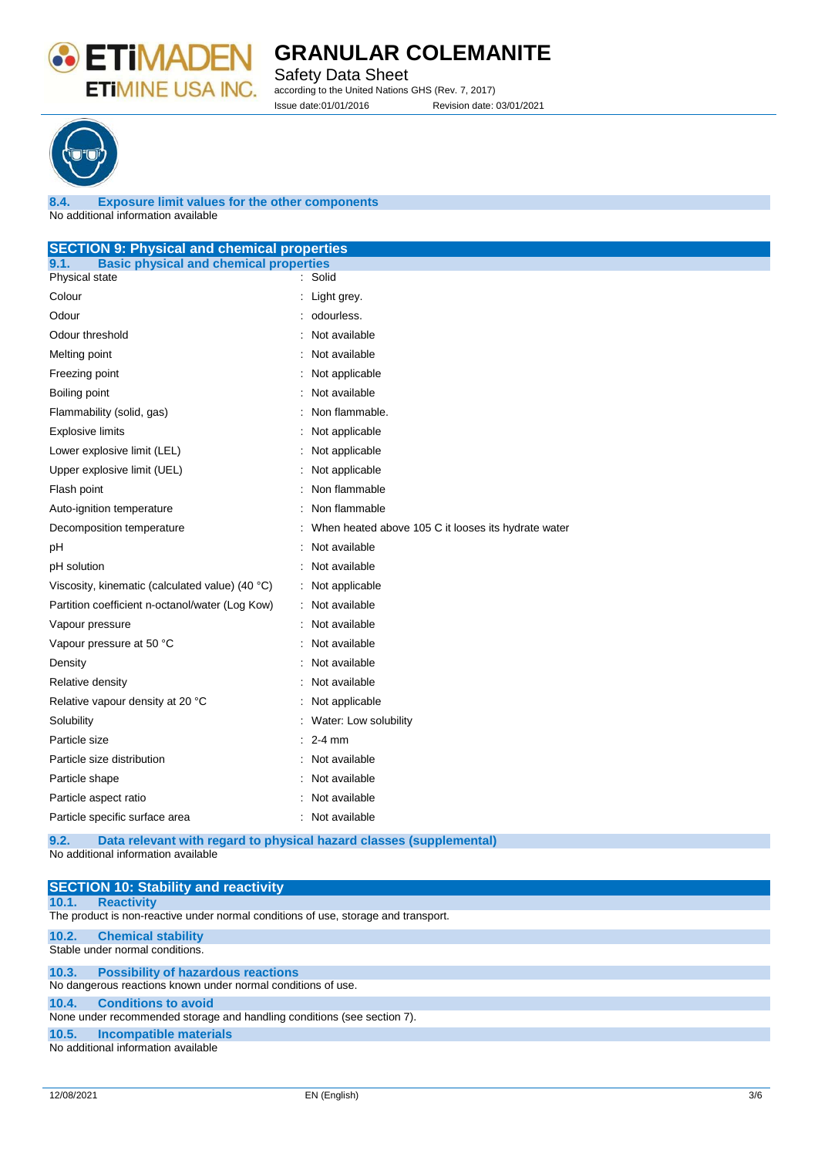

Safety Data Sheet according to the United Nations GHS (Rev. 7, 2017) Issue date:01/01/2016 Revision date: 03/01/2021



**8.4. Exposure limit values for the other components** No additional information available

### **SECTION 9: Physical and chemical properties**

| <b>Basic physical and chemical properties</b><br>9.1. |                                                     |
|-------------------------------------------------------|-----------------------------------------------------|
| Physical state                                        | : Solid                                             |
| Colour                                                | Light grey.                                         |
| Odour                                                 | odourless.                                          |
| Odour threshold                                       | Not available                                       |
| Melting point                                         | Not available                                       |
| Freezing point                                        | Not applicable                                      |
| Boiling point                                         | Not available                                       |
| Flammability (solid, gas)                             | Non flammable.                                      |
| <b>Explosive limits</b>                               | Not applicable                                      |
| Lower explosive limit (LEL)                           | Not applicable                                      |
| Upper explosive limit (UEL)                           | Not applicable                                      |
| Flash point                                           | Non flammable                                       |
| Auto-ignition temperature                             | Non flammable                                       |
| Decomposition temperature                             | When heated above 105 C it looses its hydrate water |
| рH                                                    | Not available                                       |
| pH solution                                           | Not available                                       |
| Viscosity, kinematic (calculated value) (40 °C)       | Not applicable                                      |
| Partition coefficient n-octanol/water (Log Kow)       | Not available                                       |
| Vapour pressure                                       | Not available                                       |
| Vapour pressure at 50 °C                              | Not available                                       |
| Density                                               | Not available                                       |
| Relative density                                      | Not available                                       |
| Relative vapour density at 20 °C                      | Not applicable                                      |
| Solubility                                            | Water: Low solubility                               |
| Particle size                                         | $2-4$ mm                                            |
| Particle size distribution                            | Not available                                       |
| Particle shape                                        | Not available                                       |
| Particle aspect ratio                                 | Not available                                       |
| Particle specific surface area                        | Not available                                       |
|                                                       |                                                     |

**9.2. Data relevant with regard to physical hazard classes (supplemental)** No additional information available

|                                                                         | <b>SECTION 10: Stability and reactivity</b>                                        |  |
|-------------------------------------------------------------------------|------------------------------------------------------------------------------------|--|
| 10.1.                                                                   | <b>Reactivity</b>                                                                  |  |
|                                                                         | The product is non-reactive under normal conditions of use, storage and transport. |  |
| 10.2.                                                                   | <b>Chemical stability</b>                                                          |  |
|                                                                         | Stable under normal conditions.                                                    |  |
| 10.3.                                                                   | <b>Possibility of hazardous reactions</b>                                          |  |
|                                                                         | No dangerous reactions known under normal conditions of use.                       |  |
| 10.4.                                                                   | <b>Conditions to avoid</b>                                                         |  |
| None under recommended storage and handling conditions (see section 7). |                                                                                    |  |
| 10.5.                                                                   | <b>Incompatible materials</b>                                                      |  |
|                                                                         | No additional information available                                                |  |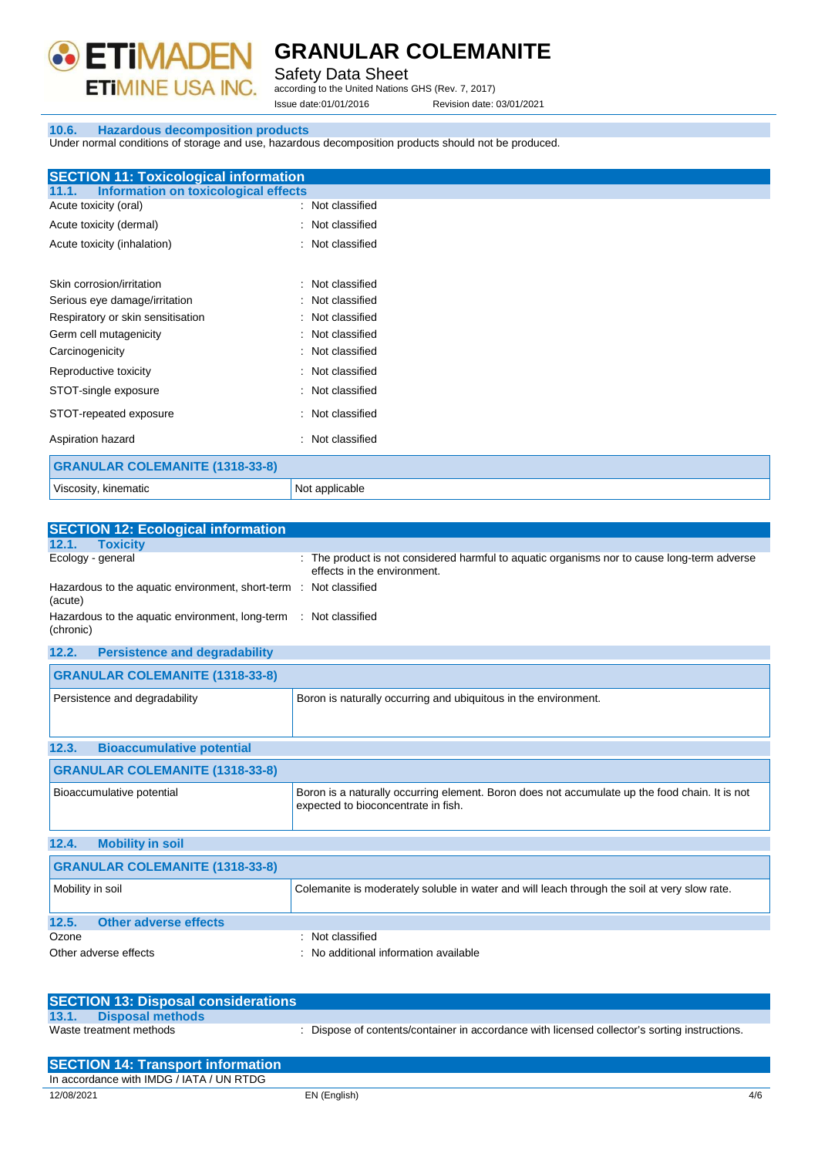

Safety Data Sheet

according to the United Nations GHS (Rev. 7, 2017) Issue date:01/01/2016 Revision date: 03/01/2021

#### **10.6. Hazardous decomposition products**

Under normal conditions of storage and use, hazardous decomposition products should not be produced.

| <b>SECTION 11: Toxicological information</b>         |                  |
|------------------------------------------------------|------------------|
| <b>Information on toxicological effects</b><br>11.1. |                  |
| Acute toxicity (oral)                                | : Not classified |
| Acute toxicity (dermal)                              | : Not classified |
| Acute toxicity (inhalation)                          | : Not classified |
|                                                      |                  |
| Skin corrosion/irritation                            | : Not classified |
| Serious eye damage/irritation                        | : Not classified |
| Respiratory or skin sensitisation                    | : Not classified |
| Germ cell mutagenicity                               | : Not classified |
| Carcinogenicity                                      | : Not classified |
| Reproductive toxicity                                | : Not classified |
| STOT-single exposure                                 | : Not classified |
| STOT-repeated exposure                               | : Not classified |
| Aspiration hazard                                    | : Not classified |
| <b>GRANULAR COLEMANITE (1318-33-8)</b>               |                  |
| Viscosity, kinematic                                 | Not applicable   |

| <b>SECTION 12: Ecological information</b>                                     |                                                                                                                          |
|-------------------------------------------------------------------------------|--------------------------------------------------------------------------------------------------------------------------|
| 12.1.<br><b>Toxicity</b>                                                      |                                                                                                                          |
| Ecology - general                                                             | The product is not considered harmful to aquatic organisms nor to cause long-term adverse<br>effects in the environment. |
| Hazardous to the aquatic environment, short-term : Not classified<br>(acute)  |                                                                                                                          |
| Hazardous to the aquatic environment, long-term : Not classified<br>(chronic) |                                                                                                                          |

| 12.2.<br><b>Persistence and degradability</b> |                                                                                                                                       |
|-----------------------------------------------|---------------------------------------------------------------------------------------------------------------------------------------|
| <b>GRANULAR COLEMANITE (1318-33-8)</b>        |                                                                                                                                       |
| Persistence and degradability                 | Boron is naturally occurring and ubiquitous in the environment.                                                                       |
| <b>Bioaccumulative potential</b><br>12.3.     |                                                                                                                                       |
| <b>GRANULAR COLEMANITE (1318-33-8)</b>        |                                                                                                                                       |
| Bioaccumulative potential                     | Boron is a naturally occurring element. Boron does not accumulate up the food chain. It is not<br>expected to bioconcentrate in fish. |
| 12.4.<br><b>Mobility in soil</b>              |                                                                                                                                       |
| <b>GRANULAR COLEMANITE (1318-33-8)</b>        |                                                                                                                                       |
| Mobility in soil                              | Colemanite is moderately soluble in water and will leach through the soil at very slow rate.                                          |
| 12.5.<br><b>Other adverse effects</b>         |                                                                                                                                       |
| Ozone                                         | : Not classified                                                                                                                      |
| Other adverse effects                         | : No additional information available                                                                                                 |

| <b>SECTION 13: Disposal considerations</b> |                                                                                               |
|--------------------------------------------|-----------------------------------------------------------------------------------------------|
| 13.1.<br><b>Disposal methods</b>           |                                                                                               |
| Waste treatment methods                    | : Dispose of contents/container in accordance with licensed collector's sorting instructions. |

| <b>SECTION 14: Transport information</b> |              |              |
|------------------------------------------|--------------|--------------|
| In accordance with IMDG / IATA / UN RTDG |              |              |
| 12/08/2021                               | EN (English) | $4/\epsilon$ |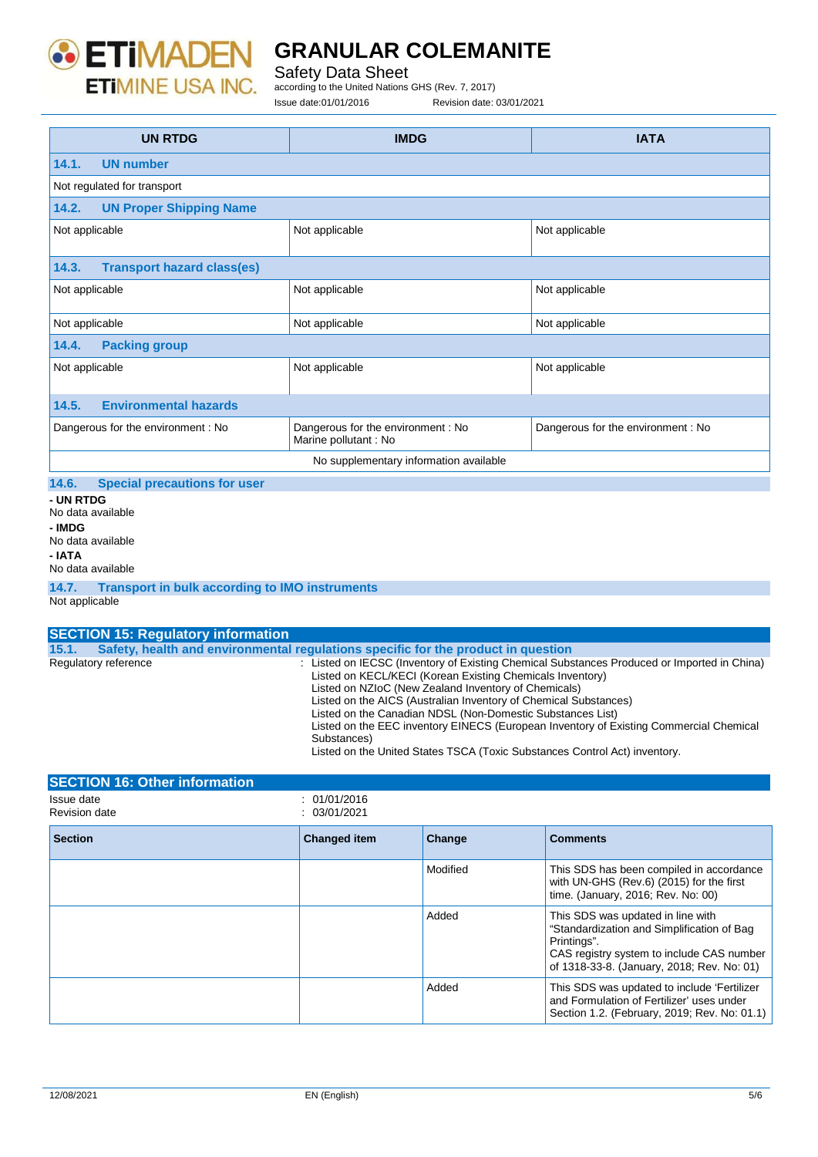

Safety Data Sheet

according to the United Nations GHS (Rev. 7, 2017)

Issue date:01/01/2016 Revision date: 03/01/2021

**UN RTDG IMDG IATA 14.1. UN number** Not regulated for transport **14.2. UN Proper Shipping Name** Not applicable  $\vert$  Not applicable  $\vert$  Not applicable  $\vert$  Not applicable **14.3. Transport hazard class(es)** Not applicable Not applicable Not applicable Not applicable Not applicable Not applicable Not applicable Not applicable Not applicable Not applicable **14.4. Packing group** Not applicable **Not applicable** Not applicable **Not applicable** Not applicable **14.5. Environmental hazards** Dangerous for the environment : No Dangerous for the environment : No Marine pollutant : No Dangerous for the environment : No No supplementary information available **14.6. Special precautions for user - UN RTDG** No data available **- IMDG** No data available **- IATA** No data available **14.7. Transport in bulk according to IMO instruments** Not applicable

| <b>SECTION 15: Regulatory information</b> |                                                                                                                                                                                                                                                                                                                                                                                                                                                                                                                                           |
|-------------------------------------------|-------------------------------------------------------------------------------------------------------------------------------------------------------------------------------------------------------------------------------------------------------------------------------------------------------------------------------------------------------------------------------------------------------------------------------------------------------------------------------------------------------------------------------------------|
| 15.1.                                     | Safety, health and environmental requiations specific for the product in question                                                                                                                                                                                                                                                                                                                                                                                                                                                         |
| Regulatory reference                      | : Listed on IECSC (Inventory of Existing Chemical Substances Produced or Imported in China)<br>Listed on KECL/KECI (Korean Existing Chemicals Inventory)<br>Listed on NZIoC (New Zealand Inventory of Chemicals)<br>Listed on the AICS (Australian Inventory of Chemical Substances)<br>Listed on the Canadian NDSL (Non-Domestic Substances List)<br>Listed on the EEC inventory EINECS (European Inventory of Existing Commercial Chemical<br>Substances)<br>Listed on the United States TSCA (Toxic Substances Control Act) inventory. |

| <b>SECTION 16: Other information</b> |                              |          |                                                                                                                                                                                           |
|--------------------------------------|------------------------------|----------|-------------------------------------------------------------------------------------------------------------------------------------------------------------------------------------------|
| Issue date<br><b>Revision date</b>   | : 01/01/2016<br>: 03/01/2021 |          |                                                                                                                                                                                           |
| <b>Section</b>                       | <b>Changed item</b>          | Change   | <b>Comments</b>                                                                                                                                                                           |
|                                      |                              | Modified | This SDS has been compiled in accordance<br>with UN-GHS (Rev.6) (2015) for the first<br>time. (January, 2016; Rev. No: 00)                                                                |
|                                      |                              | Added    | This SDS was updated in line with<br>"Standardization and Simplification of Bag<br>Printings".<br>CAS registry system to include CAS number<br>of 1318-33-8. (January, 2018; Rev. No: 01) |
|                                      |                              | Added    | This SDS was updated to include 'Fertilizer<br>and Formulation of Fertilizer' uses under<br>Section 1.2. (February, 2019; Rev. No: 01.1)                                                  |